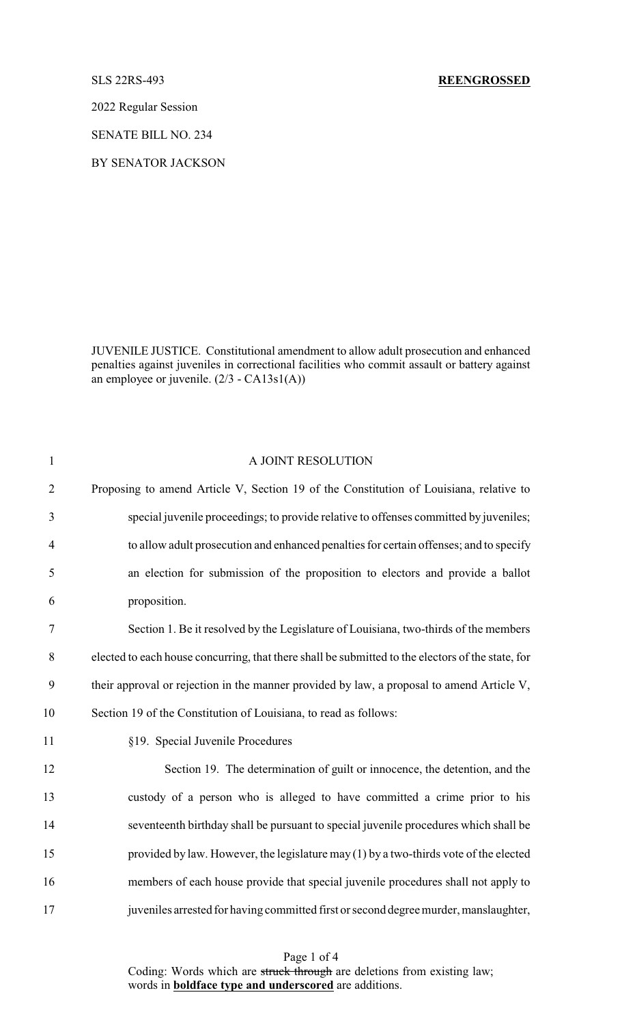2022 Regular Session

SENATE BILL NO. 234

BY SENATOR JACKSON

JUVENILE JUSTICE. Constitutional amendment to allow adult prosecution and enhanced penalties against juveniles in correctional facilities who commit assault or battery against an employee or juvenile. (2/3 - CA13s1(A))

| $\mathbf{1}$   | A JOINT RESOLUTION                                                                                |
|----------------|---------------------------------------------------------------------------------------------------|
| $\overline{2}$ | Proposing to amend Article V, Section 19 of the Constitution of Louisiana, relative to            |
| 3              | special juvenile proceedings; to provide relative to offenses committed by juveniles;             |
| $\overline{4}$ | to allow adult prosecution and enhanced penalties for certain offenses; and to specify            |
| 5              | an election for submission of the proposition to electors and provide a ballot                    |
| 6              | proposition.                                                                                      |
| $\tau$         | Section 1. Be it resolved by the Legislature of Louisiana, two-thirds of the members              |
| $8\,$          | elected to each house concurring, that there shall be submitted to the electors of the state, for |
| 9              | their approval or rejection in the manner provided by law, a proposal to amend Article V,         |
| 10             | Section 19 of the Constitution of Louisiana, to read as follows:                                  |
| 11             | §19. Special Juvenile Procedures                                                                  |
| 12             | Section 19. The determination of guilt or innocence, the detention, and the                       |
| 13             | custody of a person who is alleged to have committed a crime prior to his                         |
| 14             | seventeenth birthday shall be pursuant to special juvenile procedures which shall be              |
| 15             | provided by law. However, the legislature may (1) by a two-thirds vote of the elected             |
| 16             | members of each house provide that special juvenile procedures shall not apply to                 |
| 17             | juveniles arrested for having committed first or second degree murder, manslaughter,              |

Page 1 of 4 Coding: Words which are struck through are deletions from existing law; words in **boldface type and underscored** are additions.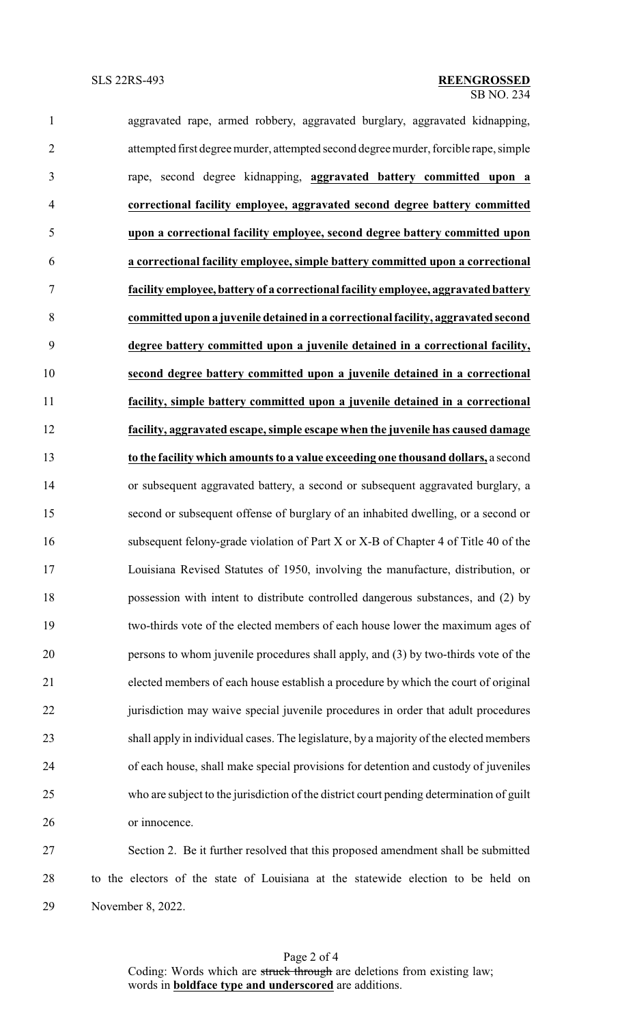| $\mathbf{1}$   | aggravated rape, armed robbery, aggravated burglary, aggravated kidnapping,              |
|----------------|------------------------------------------------------------------------------------------|
| $\overline{2}$ | attempted first degree murder, attempted second degree murder, forcible rape, simple     |
| 3              | rape, second degree kidnapping, aggravated battery committed upon a                      |
| 4              | correctional facility employee, aggravated second degree battery committed               |
| 5              | upon a correctional facility employee, second degree battery committed upon              |
| 6              | a correctional facility employee, simple battery committed upon a correctional           |
| $\tau$         | facility employee, battery of a correctional facility employee, aggravated battery       |
| 8              | committed upon a juvenile detained in a correctional facility, aggravated second         |
| 9              | degree battery committed upon a juvenile detained in a correctional facility,            |
| 10             | second degree battery committed upon a juvenile detained in a correctional               |
| 11             | facility, simple battery committed upon a juvenile detained in a correctional            |
| 12             | facility, aggravated escape, simple escape when the juvenile has caused damage           |
| 13             | to the facility which amounts to a value exceeding one thousand dollars, a second        |
| 14             | or subsequent aggravated battery, a second or subsequent aggravated burglary, a          |
| 15             | second or subsequent offense of burglary of an inhabited dwelling, or a second or        |
| 16             | subsequent felony-grade violation of Part X or X-B of Chapter 4 of Title 40 of the       |
| 17             | Louisiana Revised Statutes of 1950, involving the manufacture, distribution, or          |
| 18             | possession with intent to distribute controlled dangerous substances, and (2) by         |
| 19             | two-thirds vote of the elected members of each house lower the maximum ages of           |
| 20             | persons to whom juvenile procedures shall apply, and (3) by two-thirds vote of the       |
| 21             | elected members of each house establish a procedure by which the court of original       |
| 22             | jurisdiction may waive special juvenile procedures in order that adult procedures        |
| 23             | shall apply in individual cases. The legislature, by a majority of the elected members   |
| 24             | of each house, shall make special provisions for detention and custody of juveniles      |
| 25             | who are subject to the jurisdiction of the district court pending determination of guilt |
| 26             | or innocence.                                                                            |
| 27             | Section 2. Be it further resolved that this proposed amendment shall be submitted        |
| 28             | to the electors of the state of Louisiana at the statewide election to be held on        |

November 8, 2022.

Page 2 of 4 Coding: Words which are struck through are deletions from existing law; words in **boldface type and underscored** are additions.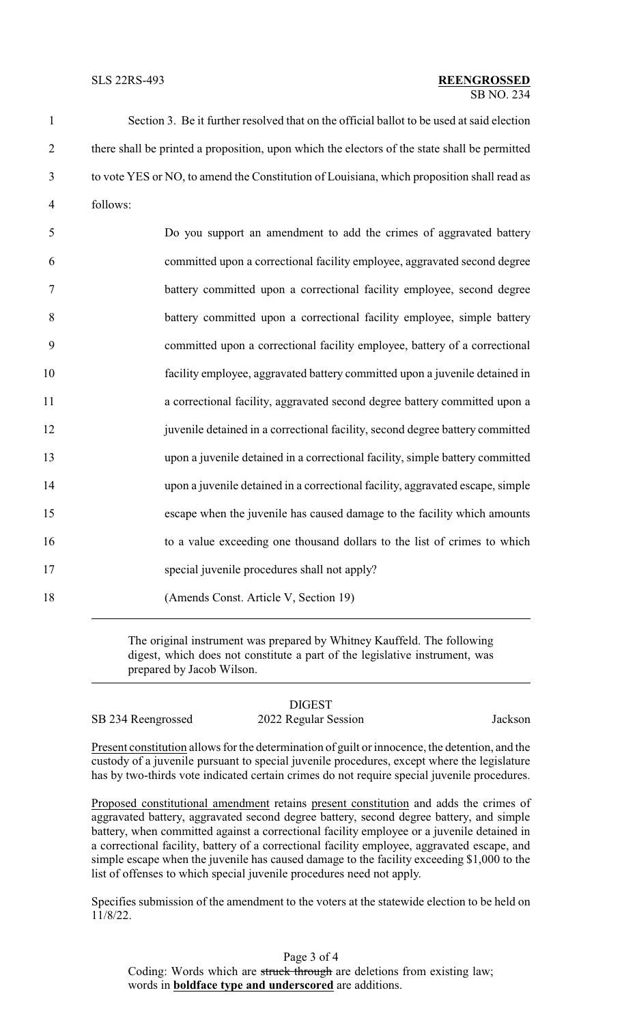Section 3. Be it further resolved that on the official ballot to be used at said election there shall be printed a proposition, upon which the electors of the state shall be permitted to vote YES or NO, to amend the Constitution of Louisiana, which proposition shall read as 4 follows:

| 5      | Do you support an amendment to add the crimes of aggravated battery            |
|--------|--------------------------------------------------------------------------------|
| 6      | committed upon a correctional facility employee, aggravated second degree      |
| $\tau$ | battery committed upon a correctional facility employee, second degree         |
| 8      | battery committed upon a correctional facility employee, simple battery        |
| 9      | committed upon a correctional facility employee, battery of a correctional     |
| 10     | facility employee, aggravated battery committed upon a juvenile detained in    |
| 11     | a correctional facility, aggravated second degree battery committed upon a     |
| 12     | juvenile detained in a correctional facility, second degree battery committed  |
| 13     | upon a juvenile detained in a correctional facility, simple battery committed  |
| 14     | upon a juvenile detained in a correctional facility, aggravated escape, simple |
| 15     | escape when the juvenile has caused damage to the facility which amounts       |
| 16     | to a value exceeding one thousand dollars to the list of crimes to which       |
| 17     | special juvenile procedures shall not apply?                                   |
| 18     | (Amends Const. Article V, Section 19)                                          |

The original instrument was prepared by Whitney Kauffeld. The following digest, which does not constitute a part of the legislative instrument, was prepared by Jacob Wilson.

| ngrossod |  |
|----------|--|

DIGEST SB 234 Reengrossed 2022 Regular Session Jackson

Present constitution allows for the determination of guilt or innocence, the detention, and the custody of a juvenile pursuant to special juvenile procedures, except where the legislature has by two-thirds vote indicated certain crimes do not require special juvenile procedures.

Proposed constitutional amendment retains present constitution and adds the crimes of aggravated battery, aggravated second degree battery, second degree battery, and simple battery, when committed against a correctional facility employee or a juvenile detained in a correctional facility, battery of a correctional facility employee, aggravated escape, and simple escape when the juvenile has caused damage to the facility exceeding \$1,000 to the list of offenses to which special juvenile procedures need not apply.

Specifies submission of the amendment to the voters at the statewide election to be held on 11/8/22.

Page 3 of 4 Coding: Words which are struck through are deletions from existing law; words in **boldface type and underscored** are additions.